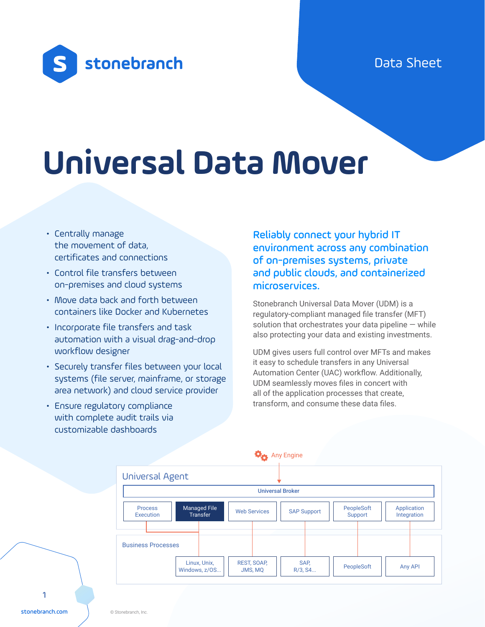## Data Sheet



# **Universal Data Mover**

- Centrally manage the movement of data, certificates and connections
- Control file transfers between on-premises and cloud systems
- Move data back and forth between containers like Docker and Kubernetes
- Incorporate file transfers and task automation with a visual drag-and-drop workflow designer
- Securely transfer files between your local systems (file server, mainframe, or storage area network) and cloud service provider
- Ensure regulatory compliance with complete audit trails via customizable dashboards

Reliably connect your hybrid IT environment across any combination of on-premises systems, private and public clouds, and containerized microservices.

Stonebranch Universal Data Mover (UDM) is a regulatory-compliant managed file transfer (MFT) solution that orchestrates your data pipeline  $-$  while also protecting your data and existing investments.

UDM gives users full control over MFTs and makes it easy to schedule transfers in any Universal Automation Center (UAC) workflow. Additionally, UDM seamlessly moves files in concert with all of the application processes that create, transform, and consume these data files.



1